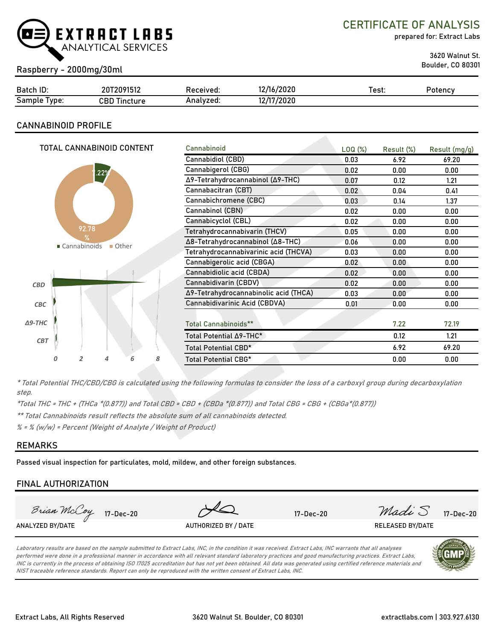

CERTIFICATE OF ANALYSIS

prepared for: Extract Labs

3620 Walnut St.

# Boulder, CO 80301 Raspberry - 2000mg/30ml

| Batch ID:       | Т2091512<br>20  | Received: | 12/16/2020 | est: | Potencv |
|-----------------|-----------------|-----------|------------|------|---------|
| Sample<br>'vpe: | CBD<br>Tincture | Analyzed: | 12/17/2020 |      |         |

# **CANNABINOID PROFILE**

|                                 | TOTAL CANNABINOID CONTENT |                                       |      |      |      | Cannabinoid                           |                     |            |               |
|---------------------------------|---------------------------|---------------------------------------|------|------|------|---------------------------------------|---------------------|------------|---------------|
|                                 |                           |                                       |      |      |      |                                       | LOQ( <sub>%</sub> ) | Result (%) | Result (mg/g) |
|                                 |                           |                                       |      |      |      | Cannabidiol (CBD)                     | 0.03                | 6.92       | 69.20         |
|                                 |                           |                                       | .22% |      |      | Cannabigerol (CBG)                    | 0.02                | 0.00       | 0.00          |
|                                 |                           |                                       |      |      |      | Δ9-Tetrahydrocannabinol (Δ9-THC)      | 0.07                | 0.12       | 1.21          |
|                                 |                           |                                       |      |      |      | Cannabacitran (CBT)                   | 0.02                | 0.04       | 0.41          |
|                                 |                           |                                       |      |      |      | Cannabichromene (CBC)                 | 0.03                | 0.14       | 1.37          |
|                                 |                           |                                       |      |      |      | Cannabinol (CBN)                      | 0.02                | 0.00       | 0.00          |
|                                 |                           |                                       |      |      |      | Cannabicyclol (CBL)                   | 0.02                | 0.00       | 0.00          |
|                                 |                           | 92.78                                 |      |      |      | Tetrahydrocannabivarin (THCV)         | 0.05                | 0.00       | 0.00          |
| $\%$<br>■ Cannabinoids<br>Other |                           | Δ8-Tetrahydrocannabinol (Δ8-THC)      | 0.06 | 0.00 | 0.00 |                                       |                     |            |               |
|                                 |                           | Tetrahydrocannabivarinic acid (THCVA) | 0.03 | 0.00 | 0.00 |                                       |                     |            |               |
|                                 |                           |                                       |      |      |      | Cannabigerolic acid (CBGA)            | 0.02                | 0.00       | 0.00          |
|                                 |                           |                                       |      |      |      | Cannabidiolic acid (CBDA)             | 0.02                | 0.00       | 0.00          |
| <b>CBD</b>                      |                           |                                       |      |      |      | Cannabidivarin (CBDV)                 | 0.02                | 0.00       | 0.00          |
|                                 |                           |                                       |      |      |      | Δ9-Tetrahydrocannabinolic acid (THCA) | 0.03                | 0.00       | 0.00          |
| CBC                             |                           |                                       |      |      |      | Cannabidivarinic Acid (CBDVA)         | 0.01                | 0.00       | 0.00          |
|                                 |                           |                                       |      |      |      |                                       |                     |            |               |
| $\triangle$ 9-THC               |                           |                                       |      |      |      | Total Cannabinoids**                  |                     | 7.22       | 72.19         |
| <b>CBT</b>                      |                           |                                       |      |      |      | Total Potential ∆9-THC*               |                     | 0.12       | 1.21          |
|                                 |                           |                                       |      |      |      | Total Potential CBD*                  |                     | 6.92       | 69.20         |
|                                 | 0                         | 2                                     | 4    | 6    | 8    | <b>Total Potential CBG*</b>           |                     | 0.00       | 0.00          |
|                                 |                           |                                       |      |      |      |                                       |                     |            |               |

\* Total Potential THC/CBD/CBG is calculated using the following formulas to consider the loss of a carboxyl group during decarboxylation step.

\*Total THC = THC + (THCa \*(0.877)) and Total CBD = CBD + (CBDa \*(0.877)) and Total CBG = CBG + (CBGa\*(0.877))

\*\* Total Cannabinoids result reflects the absolute sum of all cannabinoids detected.

% = % (w/w) = Percent (Weight of Analyte / Weight of Product)

# **REMARKS**

Passed visual inspection for particulates, mold, mildew, and other foreign substances.

# **FINAL AUTHORIZATION**



Laboratory results are based on the sample submitted to Extract Labs, INC, in the condition it was received. Extract Labs, INC warrants that all analyses performed were done in a professional manner in accordance with all relevant standard laboratory practices and good manufacturing practices. Extract Labs, INC is currently in the process of obtaining ISO 17025 accreditation but has not yet been obtained. All data was generated using certified reference materials and NIST traceable reference standards. Report can only be reproduced with the written consent of Extract Labs, INC.

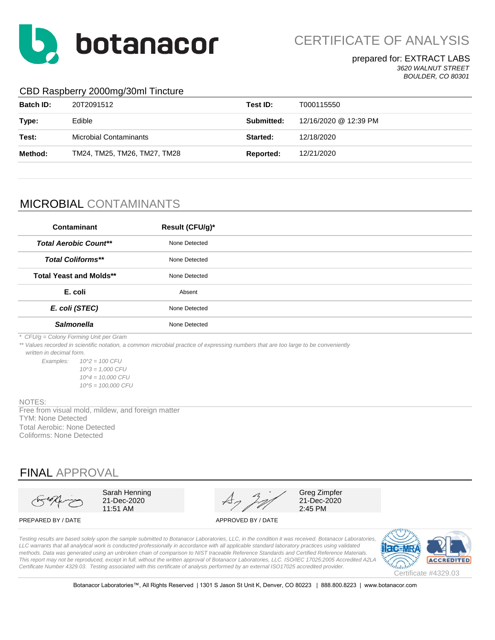

CERTIFICATE OF ANALYSIS

#### prepared for: EXTRACT LABS *3620 WALNUT STREET BOULDER, CO 80301*

## CBD Raspberry 2000mg/30ml Tincture

| <b>Batch ID:</b> | 20T2091512                    | Test ID:   | T000115550            |
|------------------|-------------------------------|------------|-----------------------|
| Type:            | Edible                        | Submitted: | 12/16/2020 @ 12:39 PM |
| Test:            | <b>Microbial Contaminants</b> | Started:   | 12/18/2020            |
| Method:          | TM24, TM25, TM26, TM27, TM28  | Reported:  | 12/21/2020            |
|                  |                               |            |                       |

# MICROBIAL CONTAMINANTS

| Contaminant                    | Result (CFU/g)* |  |
|--------------------------------|-----------------|--|
| <b>Total Aerobic Count**</b>   | None Detected   |  |
| <b>Total Coliforms**</b>       | None Detected   |  |
| <b>Total Yeast and Molds**</b> | None Detected   |  |
| E. coli                        | Absent          |  |
| E. coli (STEC)                 | None Detected   |  |
| <b>Salmonella</b>              | None Detected   |  |

*\* CFU/g = Colony Forming Unit per Gram*

*\*\* Values recorded in scientific notation, a common microbial practice of expressing numbers that are too large to be conveniently* 

 *written in decimal form.*

*Examples: 10^2 = 100 CFU 10^3 = 1,000 CFU 10^4 = 10,000 CFU 10^5 = 100,000 CFU*

#### NOTES:

Total Aerobic: None Detected Coliforms: None Detected TYM: None Detected Free from visual mold, mildew, and foreign matter

# FINAL APPROVAL

Sarah Henning 21-Dec-2020 11:51 AM

Greg Zimpfer 21-Dec-2020 2:45 PM

#### PREPARED BY / DATE APPROVED BY / DATE

*Testing results are based solely upon the sample submitted to Botanacor Laboratories, LLC, in the condition it was received. Botanacor Laboratories,*  LLC warrants that all analytical work is conducted professionally in accordance with all applicable standard laboratory practices using validated *methods. Data was generated using an unbroken chain of comparison to NIST traceable Reference Standards and Certified Reference Materials. This report may not be reproduced, except in full, without the written approval of Botanacor Laboratories, LLC. ISO/IEC 17025:2005 Accredited A2LA Certificate Number 4329.03. Testing associated with this certificate of analysis performed by an external ISO17025 accredited provider.*



Botanacor Laboratories™, All Rights Reserved | 1301 S Jason St Unit K, Denver, CO 80223 | 888.800.8223 | www.botanacor.com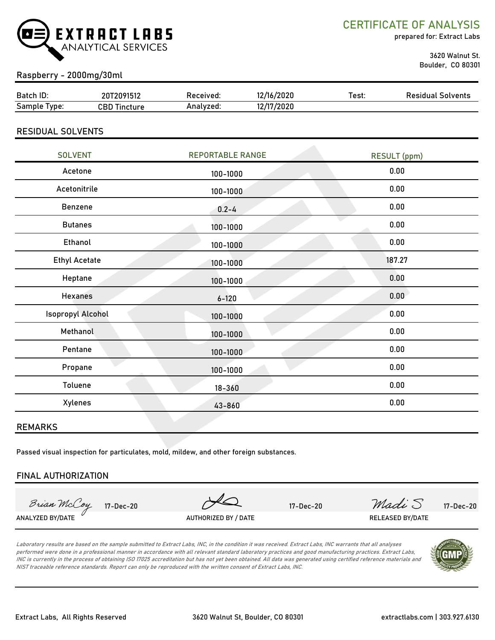

CERTIFICATE OF ANALYSIS

prepared for: Extract Labs

 3620 Walnut St. Boulder, CO 80301

# Raspberry - 2000mg/30ml

| Batch ID:       | 20T2091512          | Received: | 12/16/2020 | Test: | Residual<br>Solvents |
|-----------------|---------------------|-----------|------------|-------|----------------------|
| Sample<br>Ivpe: | CBD Tir<br>Tincture | Analyzed: | 12/17/2020 |       |                      |

## RESIDUAL SOLVENTS

| <b>SOLVENT</b>           | <b>REPORTABLE RANGE</b> | <b>RESULT</b> (ppm) |
|--------------------------|-------------------------|---------------------|
| Acetone                  | 100-1000                | 0.00                |
| Acetonitrile             | 100-1000                | 0.00                |
| Benzene                  | $0.2 - 4$               | 0.00                |
| <b>Butanes</b>           | 100-1000                | 0.00                |
| Ethanol                  | 100-1000                | 0.00                |
| <b>Ethyl Acetate</b>     | 100-1000                | 187.27              |
| Heptane                  | 100-1000                | 0.00                |
| <b>Hexanes</b>           | $6 - 120$               | 0.00                |
| <b>Isopropyl Alcohol</b> | 100-1000                | 0.00                |
| Methanol                 | 100-1000                | 0.00                |
| Pentane                  | 100-1000                | 0.00                |
| Propane                  | 100-1000                | 0.00                |
| Toluene                  | $18 - 360$              | 0.00                |
| Xylenes                  | 43-860                  | 0.00                |

#### REMARKS

Passed visual inspection for particulates, mold, mildew, and other foreign substances.

#### FINAL AUTHORIZATION

Brian McCoy

ANALYZED BY/DATE  $\sim$  authorized by / Date released by / DATE released by/date released by/date

17-Dec-20 17-Dec-20  $\mathcal{V}(\mathcal{Q})$  17-Dec-20  $\mathcal{W}(\mathcal{A} \cup \mathcal{S})$  17-Dec-20

Laboratory results are based on the sample submitted to Extract Labs, INC, in the condition it was received. Extract Labs, INC warrants that all analyses performed were done in a professional manner in accordance with all relevant standard laboratory practices and good manufacturing practices. Extract Labs, INC is currently in the process of obtaining ISO 17025 accreditation but has not yet been obtained. All data was generated using certified reference materials and NIST traceable reference standards. Report can only be reproduced with the written consent of Extract Labs, INC.